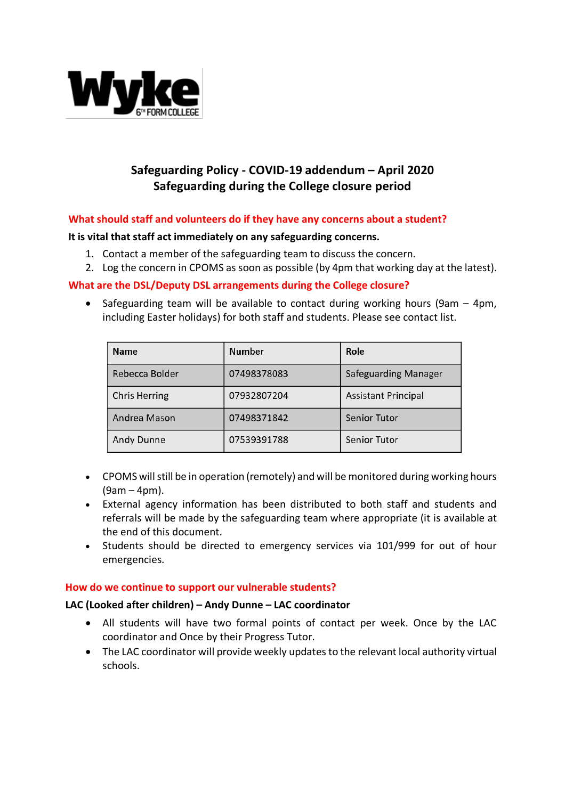

# **Safeguarding Policy - COVID-19 addendum – April 2020 Safeguarding during the College closure period**

# **What should staff and volunteers do if they have any concerns about a student?**

#### **It is vital that staff act immediately on any safeguarding concerns.**

- 1. Contact a member of the safeguarding team to discuss the concern.
- 2. Log the concern in CPOMS as soon as possible (by 4pm that working day at the latest).

## **What are the DSL/Deputy DSL arrangements during the College closure?**

• Safeguarding team will be available to contact during working hours (9am – 4pm, including Easter holidays) for both staff and students. Please see contact list.

| <b>Name</b>    | Number      | Role                        |
|----------------|-------------|-----------------------------|
| Rebecca Bolder | 07498378083 | <b>Safeguarding Manager</b> |
| Chris Herring  | 07932807204 | <b>Assistant Principal</b>  |
| Andrea Mason   | 07498371842 | <b>Senior Tutor</b>         |
| Andy Dunne     | 07539391788 | Senior Tutor                |

- CPOMS will still be in operation (remotely) and will be monitored during working hours (9am – 4pm).
- External agency information has been distributed to both staff and students and referrals will be made by the safeguarding team where appropriate (it is available at the end of this document.
- Students should be directed to emergency services via 101/999 for out of hour emergencies.

#### **How do we continue to support our vulnerable students?**

#### **LAC (Looked after children) – Andy Dunne – LAC coordinator**

- All students will have two formal points of contact per week. Once by the LAC coordinator and Once by their Progress Tutor.
- The LAC coordinator will provide weekly updates to the relevant local authority virtual schools.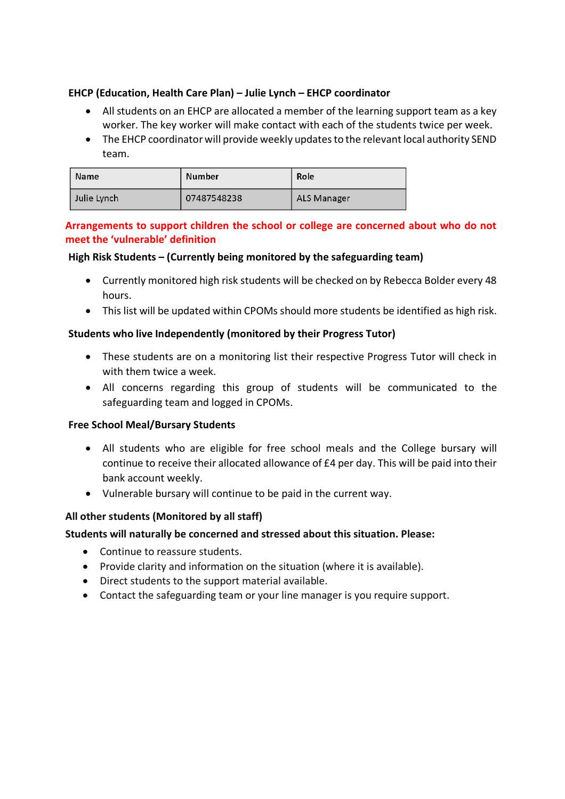# **EHCP (Education, Health Care Plan) – Julie Lynch – EHCP coordinator**

- All students on an EHCP are allocated a member of the learning support team as a key worker. The key worker will make contact with each of the students twice per week.
- The EHCP coordinator will provide weekly updates to the relevant local authority SEND team.

| <b>Name</b> | <b>Number</b> | Role        |
|-------------|---------------|-------------|
| Julie Lynch | 07487548238   | ALS Manager |

# **Arrangements to support children the school or college are concerned about who do not meet the 'vulnerable' definition**

# **High Risk Students – (Currently being monitored by the safeguarding team)**

- Currently monitored high risk students will be checked on by Rebecca Bolder every 48 hours.
- This list will be updated within CPOMs should more students be identified as high risk.

## **Students who live Independently (monitored by their Progress Tutor)**

- These students are on a monitoring list their respective Progress Tutor will check in with them twice a week.
- All concerns regarding this group of students will be communicated to the safeguarding team and logged in CPOMs.

#### **Free School Meal/Bursary Students**

- All students who are eligible for free school meals and the College bursary will continue to receive their allocated allowance of £4 per day. This will be paid into their bank account weekly.
- Vulnerable bursary will continue to be paid in the current way.

# **All other students (Monitored by all staff)**

**Students will naturally be concerned and stressed about this situation. Please:**

- Continue to reassure students.
- Provide clarity and information on the situation (where it is available).
- Direct students to the support material available.
- Contact the safeguarding team or your line manager is you require support.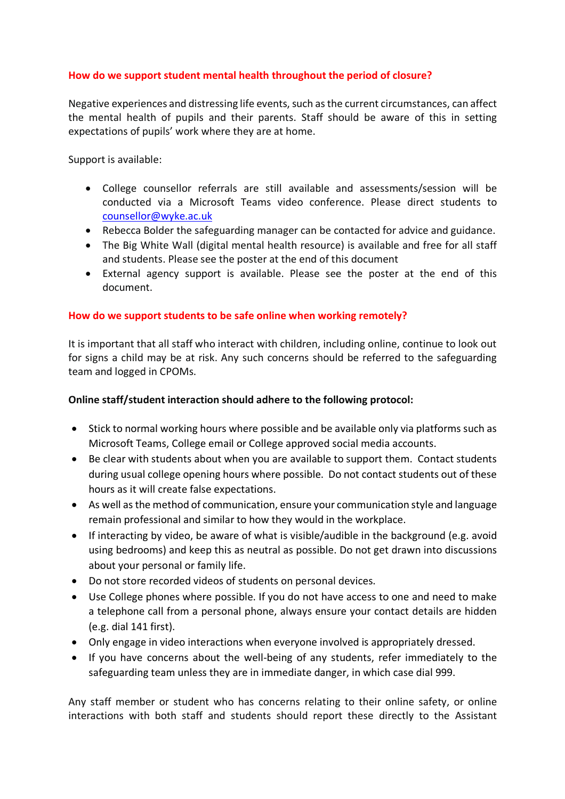# **How do we support student mental health throughout the period of closure?**

Negative experiences and distressing life events, such as the current circumstances, can affect the mental health of pupils and their parents. Staff should be aware of this in setting expectations of pupils' work where they are at home.

Support is available:

- College counsellor referrals are still available and assessments/session will be conducted via a Microsoft Teams video conference. Please direct students to counsellor@wyke.ac.uk
- Rebecca Bolder the safeguarding manager can be contacted for advice and guidance.
- The Big White Wall (digital mental health resource) is available and free for all staff and students. Please see the poster at the end of this document
- External agency support is available. Please see the poster at the end of this document.

## **How do we support students to be safe online when working remotely?**

It is important that all staff who interact with children, including online, continue to look out for signs a child may be at risk. Any such concerns should be referred to the safeguarding team and logged in CPOMs.

#### **Online staff/student interaction should adhere to the following protocol:**

- Stick to normal working hours where possible and be available only via platforms such as Microsoft Teams, College email or College approved social media accounts.
- Be clear with students about when you are available to support them. Contact students during usual college opening hours where possible. Do not contact students out of these hours as it will create false expectations.
- As well as the method of communication, ensure your communication style and language remain professional and similar to how they would in the workplace.
- If interacting by video, be aware of what is visible/audible in the background (e.g. avoid using bedrooms) and keep this as neutral as possible. Do not get drawn into discussions about your personal or family life.
- Do not store recorded videos of students on personal devices.
- Use College phones where possible. If you do not have access to one and need to make a telephone call from a personal phone, always ensure your contact details are hidden (e.g. dial 141 first).
- Only engage in video interactions when everyone involved is appropriately dressed.
- If you have concerns about the well-being of any students, refer immediately to the safeguarding team unless they are in immediate danger, in which case dial 999.

Any staff member or student who has concerns relating to their online safety, or online interactions with both staff and students should report these directly to the Assistant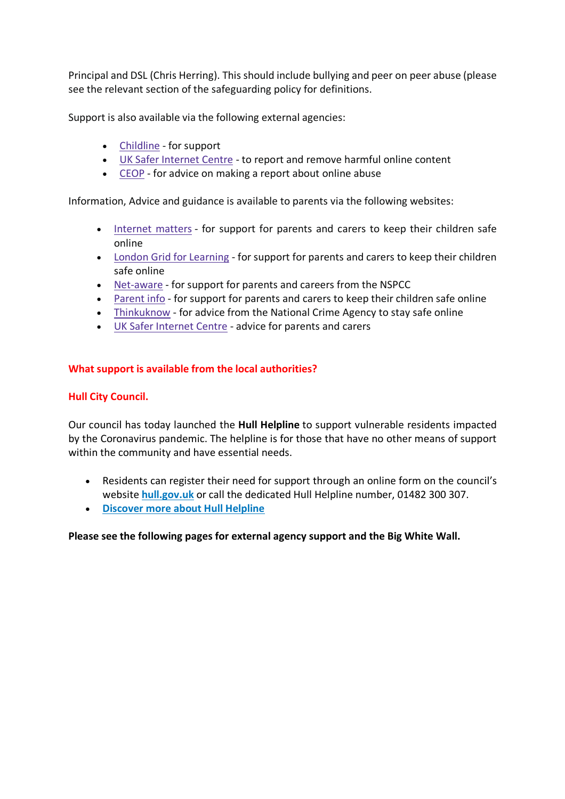Principal and DSL (Chris Herring). This should include bullying and peer on peer abuse (please see the relevant section of the safeguarding policy for definitions.

Support is also available via the following external agencies:

- Childline for support
- UK Safer Internet Centre to report and remove harmful online content
- CEOP for advice on making a report about online abuse

Information, Advice and guidance is available to parents via the following websites:

- Internet matters for support for parents and carers to keep their children safe online
- London Grid for Learning for support for parents and carers to keep their children safe online
- Net-aware for support for parents and careers from the NSPCC
- Parent info for support for parents and carers to keep their children safe online
- Thinkuknow for advice from the National Crime Agency to stay safe online
- UK Safer Internet Centre advice for parents and carers

## **What support is available from the local authorities?**

#### **Hull City Council.**

Our council has today launched the **Hull Helpline** to support vulnerable residents impacted by the Coronavirus pandemic. The helpline is for those that have no other means of support within the community and have essential needs.

- Residents can register their need for support through an online form on the council's website **hull.gov.uk** or call the dedicated Hull Helpline number, 01482 300 307.
- **Discover more about Hull Helpline**

#### **Please see the following pages for external agency support and the Big White Wall.**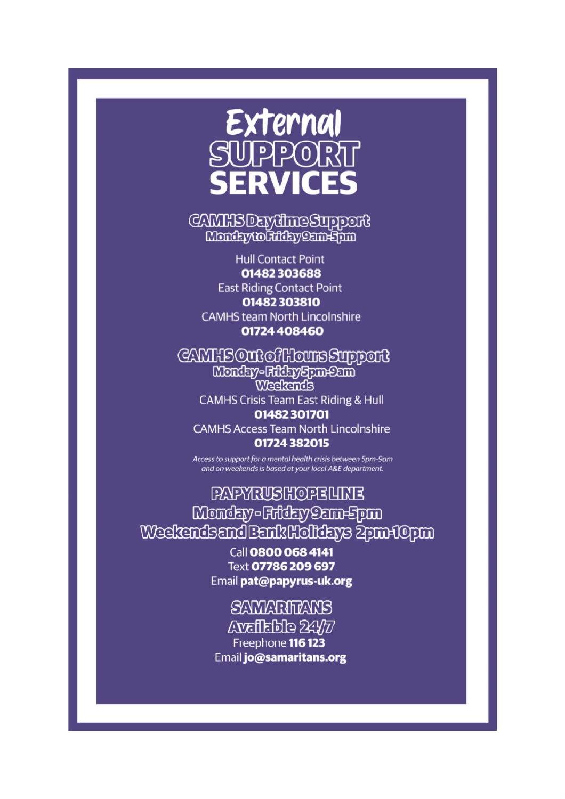

# **CAMHSDEWINGSUPPORT** Monday to Filthy Sam-Spm

**Hull Contact Point** 01482303688 **East Riding Contact Point** 01482303810 **CAMHS team North Lincolnshire** 01724 408460

CAMHSOntofHoursSupport Monday-Filthy Spm-Sam Weekends **CAMHS Crisis Team East Riding & Hull** 

01482301701 **CAMHS Access Team North Lincolnshire** 01724 382015

Access to support for a mental health crisis between 5pm-9am and on weekends is based at your local A&E department.

**PAPYRUSHOPELINE** Monday-Friday Cam-Spm Weekendsand Bank Holldays Zpm+10pm

> Call 0800 068 4141 Text 07786 209 697 Email pat@papyrus-uk.org

**SAMARITAN'S**  $\triangle$  valishe  $24/77$ Freephone 116 123 Email jo@samaritans.org